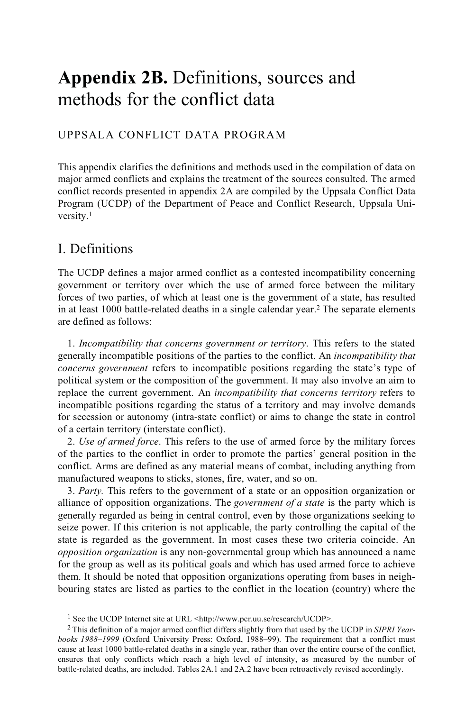# **Appendix 2B.** Definitions, sources and methods for the conflict data

### UPPSALA CONFLICT DATA PROGRAM

This appendix clarifies the definitions and methods used in the compilation of data on major armed conflicts and explains the treatment of the sources consulted. The armed conflict records presented in appendix 2A are compiled by the Uppsala Conflict Data Program (UCDP) of the Department of Peace and Conflict Research, Uppsala University.1

## I. Definitions

The UCDP defines a major armed conflict as a contested incompatibility concerning government or territory over which the use of armed force between the military forces of two parties, of which at least one is the government of a state, has resulted in at least 1000 battle-related deaths in a single calendar year.2 The separate elements are defined as follows:

1. *Incompatibility that concerns government or territory*. This refers to the stated generally incompatible positions of the parties to the conflict. An *incompatibility that concerns government* refers to incompatible positions regarding the state's type of political system or the composition of the government. It may also involve an aim to replace the current government. An *incompatibility that concerns territory* refers to incompatible positions regarding the status of a territory and may involve demands for secession or autonomy (intra-state conflict) or aims to change the state in control of a certain territory (interstate conflict).

2. *Use of armed force*. This refers to the use of armed force by the military forces of the parties to the conflict in order to promote the parties' general position in the conflict. Arms are defined as any material means of combat, including anything from manufactured weapons to sticks, stones, fire, water, and so on.

3. *Party.* This refers to the government of a state or an opposition organization or alliance of opposition organizations. The *government of a state* is the party which is generally regarded as being in central control, even by those organizations seeking to seize power. If this criterion is not applicable, the party controlling the capital of the state is regarded as the government. In most cases these two criteria coincide. An *opposition organization* is any non-governmental group which has announced a name for the group as well as its political goals and which has used armed force to achieve them. It should be noted that opposition organizations operating from bases in neighbouring states are listed as parties to the conflict in the location (country) where the

<sup>&</sup>lt;sup>1</sup> See the UCDP Internet site at URL <http://www.pcr.uu.se/research/UCDP>.

<sup>2</sup> This definition of a major armed conflict differs slightly from that used by the UCDP in *SIPRI Yearbooks 1988–1999* (Oxford University Press: Oxford, 1988–99). The requirement that a conflict must cause at least 1000 battle-related deaths in a single year, rather than over the entire course of the conflict, ensures that only conflicts which reach a high level of intensity, as measured by the number of battle-related deaths, are included. Tables 2A.1 and 2A.2 have been retroactively revised accordingly.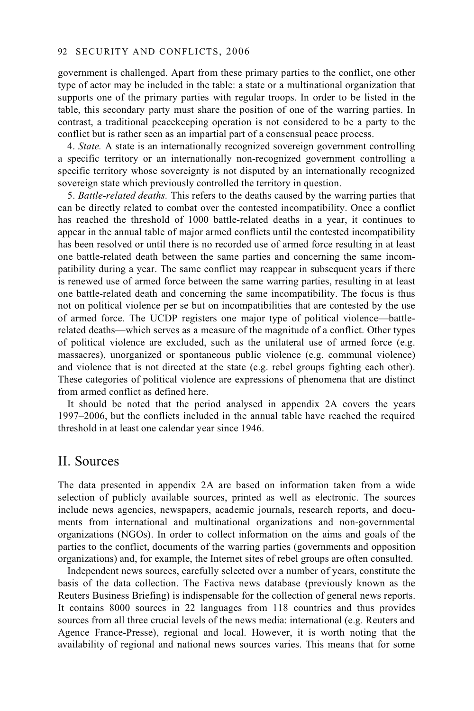#### 92 SECURITY AND CONFLICTS, 2006

government is challenged. Apart from these primary parties to the conflict, one other type of actor may be included in the table: a state or a multinational organization that supports one of the primary parties with regular troops. In order to be listed in the table, this secondary party must share the position of one of the warring parties. In contrast, a traditional peacekeeping operation is not considered to be a party to the conflict but is rather seen as an impartial part of a consensual peace process.

4. *State.* A state is an internationally recognized sovereign government controlling a specific territory or an internationally non-recognized government controlling a specific territory whose sovereignty is not disputed by an internationally recognized sovereign state which previously controlled the territory in question.

5. *Battle-related deaths.* This refers to the deaths caused by the warring parties that can be directly related to combat over the contested incompatibility. Once a conflict has reached the threshold of 1000 battle-related deaths in a year, it continues to appear in the annual table of major armed conflicts until the contested incompatibility has been resolved or until there is no recorded use of armed force resulting in at least one battle-related death between the same parties and concerning the same incompatibility during a year. The same conflict may reappear in subsequent years if there is renewed use of armed force between the same warring parties, resulting in at least one battle-related death and concerning the same incompatibility. The focus is thus not on political violence per se but on incompatibilities that are contested by the use of armed force. The UCDP registers one major type of political violence—battlerelated deaths—which serves as a measure of the magnitude of a conflict. Other types of political violence are excluded, such as the unilateral use of armed force (e.g. massacres), unorganized or spontaneous public violence (e.g. communal violence) and violence that is not directed at the state (e.g. rebel groups fighting each other). These categories of political violence are expressions of phenomena that are distinct from armed conflict as defined here.

It should be noted that the period analysed in appendix 2A covers the years 1997–2006, but the conflicts included in the annual table have reached the required threshold in at least one calendar year since 1946.

## II. Sources

The data presented in appendix 2A are based on information taken from a wide selection of publicly available sources, printed as well as electronic. The sources include news agencies, newspapers, academic journals, research reports, and documents from international and multinational organizations and non-governmental organizations (NGOs). In order to collect information on the aims and goals of the parties to the conflict, documents of the warring parties (governments and opposition organizations) and, for example, the Internet sites of rebel groups are often consulted.

Independent news sources, carefully selected over a number of years, constitute the basis of the data collection. The Factiva news database (previously known as the Reuters Business Briefing) is indispensable for the collection of general news reports. It contains 8000 sources in 22 languages from 118 countries and thus provides sources from all three crucial levels of the news media: international (e.g. Reuters and Agence France-Presse), regional and local. However, it is worth noting that the availability of regional and national news sources varies. This means that for some